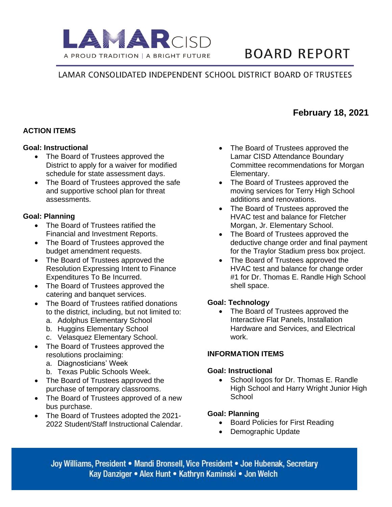

# **BOARD REPORT**

### LAMAR CONSOLIDATED INDEPENDENT SCHOOL DISTRICT BOARD OF TRUSTEES

#### **ACTION ITEMS**

#### **Goal: Instructional**

- The Board of Trustees approved the District to apply for a waiver for modified schedule for state assessment days.
- The Board of Trustees approved the safe and supportive school plan for threat assessments.

#### **Goal: Planning**

- The Board of Trustees ratified the Financial and Investment Reports.
- The Board of Trustees approved the budget amendment requests.
- The Board of Trustees approved the Resolution Expressing Intent to Finance Expenditures To Be Incurred.
- The Board of Trustees approved the catering and banquet services.
- The Board of Trustees ratified donations to the district, including, but not limited to:
	- a. Adolphus Elementary School
	- b. Huggins Elementary School
	- c. Velasquez Elementary School.
- The Board of Trustees approved the resolutions proclaiming:
	- a. Diagnosticians' Week
	- b. Texas Public Schools Week.
- The Board of Trustees approved the purchase of temporary classrooms.
- The Board of Trustees approved of a new bus purchase.
- The Board of Trustees adopted the 2021- 2022 Student/Staff Instructional Calendar.
- The Board of Trustees approved the Lamar CISD Attendance Boundary Committee recommendations for Morgan Elementary.
- The Board of Trustees approved the moving services for Terry High School additions and renovations.
- The Board of Trustees approved the HVAC test and balance for Fletcher Morgan, Jr. Elementary School.
- The Board of Trustees approved the deductive change order and final payment for the Traylor Stadium press box project.
- The Board of Trustees approved the HVAC test and balance for change order #1 for Dr. Thomas E. Randle High School shell space.

#### **Goal: Technology**

• The Board of Trustees approved the Interactive Flat Panels, Installation Hardware and Services, and Electrical work.

#### **INFORMATION ITEMS**

#### **Goal: Instructional**

School logos for Dr. Thomas E. Randle High School and Harry Wright Junior High **School** 

#### **Goal: Planning**

- Board Policies for First Reading
- Demographic Update

Joy Williams, President • Mandi Bronsell, Vice President • Joe Hubenak, Secretary Kay Danziger • Alex Hunt • Kathryn Kaminski • Jon Welch

## **February 18, 2021**